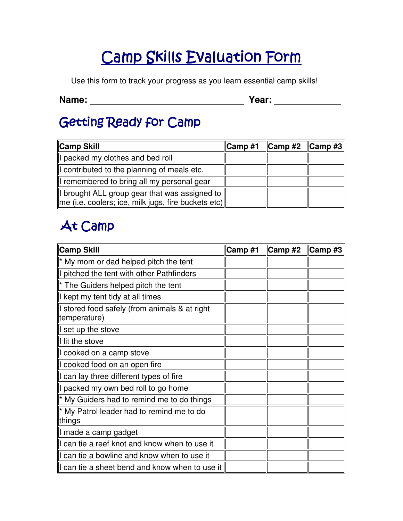# Camp Skills Evaluation Form

Use this form to track your progress as you learn essential camp skills!

**Name: \_\_\_\_\_\_\_\_\_\_\_\_\_\_\_\_\_\_\_\_\_\_\_\_\_\_\_\_\_\_ Year: \_\_\_\_\_\_\_\_\_\_\_\_\_** 

#### Getting Ready for Camp

| Camp Skill                                                                                                                   | $\ $ Camp #1 $\ $ Camp #2 $\ $ Camp #3 $\ $ |  |
|------------------------------------------------------------------------------------------------------------------------------|---------------------------------------------|--|
| I packed my clothes and bed roll                                                                                             |                                             |  |
| I contributed to the planning of meals etc.                                                                                  |                                             |  |
| I remembered to bring all my personal gear                                                                                   |                                             |  |
| I brought ALL group gear that was assigned to<br>$\parallel$ me (i.e. coolers; ice, milk jugs, fire buckets etc) $\parallel$ |                                             |  |

## At Camp

| <b>Camp Skill</b>                                             | Camp #1 | Camp #2 | $ $ Camp#3 |
|---------------------------------------------------------------|---------|---------|------------|
| $\ $ * My mom or dad helped pitch the tent                    |         |         |            |
| If pitched the tent with other Pathfinders                    |         |         |            |
| ∥ <sup>*</sup> The Guiders helped pitch the tent              |         |         |            |
| I kept my tent tidy at all times                              |         |         |            |
| I stored food safely (from animals & at right<br>temperature) |         |         |            |
| $\parallel$ set up the stove                                  |         |         |            |
| $\parallel$ lit the stove                                     |         |         |            |
| I cooked on a camp stove                                      |         |         |            |
| I cooked food on an open fire                                 |         |         |            |
| I can lay three different types of fire                       |         |         |            |
| I packed my own bed roll to go home                           |         |         |            |
| I <sup>*</sup> My Guiders had to remind me to do things       |         |         |            |
| * My Patrol leader had to remind me to do<br>things           |         |         |            |
| ∥I made a camp gadget                                         |         |         |            |
| I can tie a reef knot and know when to use it                 |         |         |            |
| Il can tie a bowline and know when to use it                  |         |         |            |
| I can tie a sheet bend and know when to use it                |         |         |            |